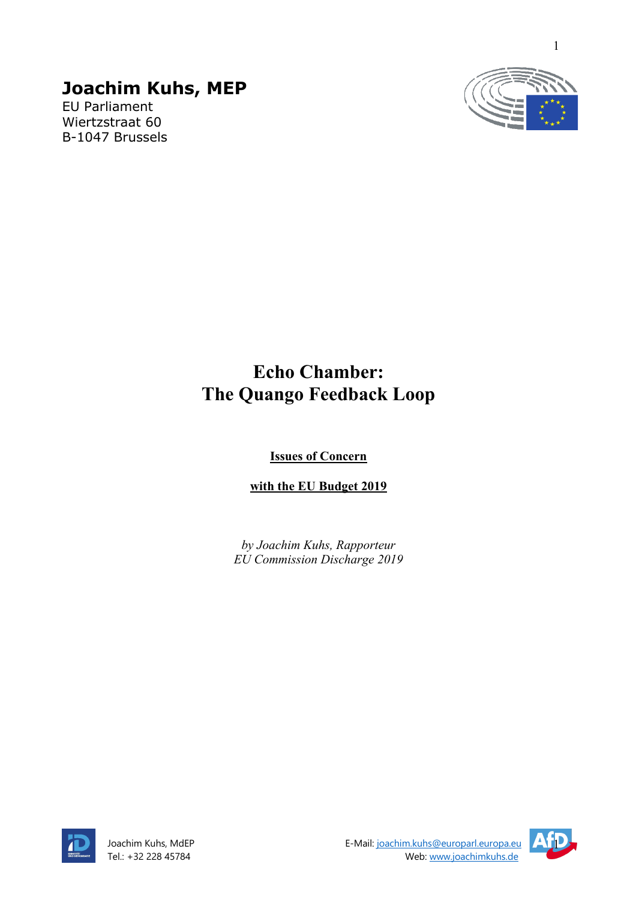# **Joachim Kuhs, MEP**

EU Parliament Wiertzstraat 60 B-1047 Brussels



# **Echo Chamber: The Quango Feedback Loop**

**Issues of Concern** 

**with the EU Budget 2019**

*by Joachim Kuhs, Rapporteur EU Commission Discharge 2019*



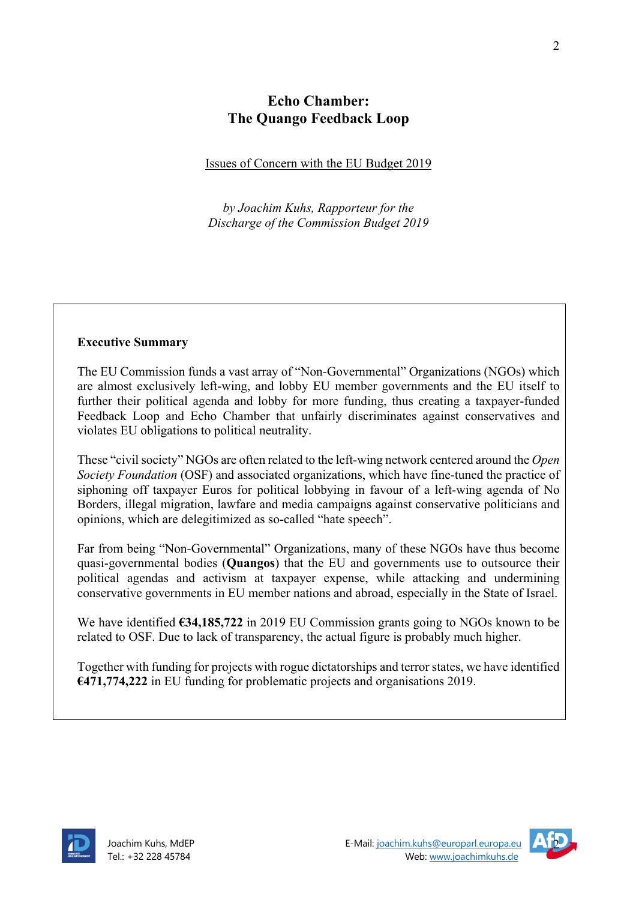# **Echo Chamber: The Quango Feedback Loop**

#### Issues of Concern with the EU Budget 2019

*by Joachim Kuhs, Rapporteur for the Discharge of the Commission Budget 2019*

#### **Executive Summary**

The EU Commission funds a vast array of "Non-Governmental" Organizations (NGOs) which are almost exclusively left-wing, and lobby EU member governments and the EU itself to further their political agenda and lobby for more funding, thus creating a taxpayer-funded Feedback Loop and Echo Chamber that unfairly discriminates against conservatives and violates EU obligations to political neutrality.

These "civil society" NGOs are often related to the left-wing network centered around the *Open Society Foundation* (OSF) and associated organizations, which have fine-tuned the practice of siphoning off taxpayer Euros for political lobbying in favour of a left-wing agenda of No Borders, illegal migration, lawfare and media campaigns against conservative politicians and opinions, which are delegitimized as so-called "hate speech".

Far from being "Non-Governmental" Organizations, many of these NGOs have thus become quasi-governmental bodies (**Quangos**) that the EU and governments use to outsource their political agendas and activism at taxpayer expense, while attacking and undermining conservative governments in EU member nations and abroad, especially in the State of Israel.

We have identified **€34,185,722** in 2019 EU Commission grants going to NGOs known to be related to OSF. Due to lack of transparency, the actual figure is probably much higher.

Together with funding for projects with rogue dictatorships and terror states, we have identified **€471,774,222** in EU funding for problematic projects and organisations 2019.



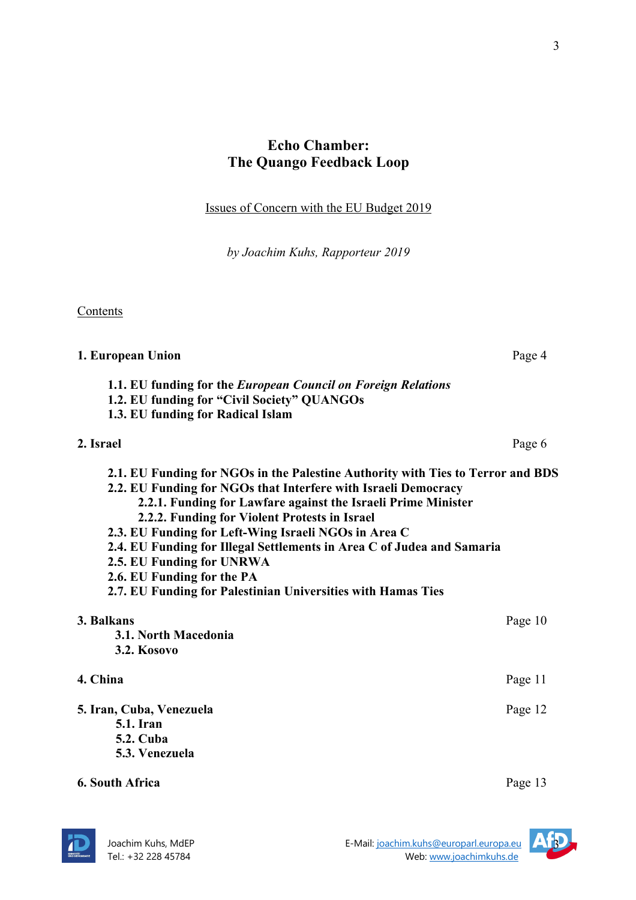# **Echo Chamber: The Quango Feedback Loop**

Issues of Concern with the EU Budget 2019

*by Joachim Kuhs, Rapporteur 2019*

Contents

| 1. European Union                                                                                                                                                                                                                                                                                                                                                                                                                                                                                                                | Page 4  |
|----------------------------------------------------------------------------------------------------------------------------------------------------------------------------------------------------------------------------------------------------------------------------------------------------------------------------------------------------------------------------------------------------------------------------------------------------------------------------------------------------------------------------------|---------|
| 1.1. EU funding for the European Council on Foreign Relations<br>1.2. EU funding for "Civil Society" QUANGOs<br>1.3. EU funding for Radical Islam                                                                                                                                                                                                                                                                                                                                                                                |         |
| 2. Israel                                                                                                                                                                                                                                                                                                                                                                                                                                                                                                                        | Page 6  |
| 2.1. EU Funding for NGOs in the Palestine Authority with Ties to Terror and BDS<br>2.2. EU Funding for NGOs that Interfere with Israeli Democracy<br>2.2.1. Funding for Lawfare against the Israeli Prime Minister<br>2.2.2. Funding for Violent Protests in Israel<br>2.3. EU Funding for Left-Wing Israeli NGOs in Area C<br>2.4. EU Funding for Illegal Settlements in Area C of Judea and Samaria<br>2.5. EU Funding for UNRWA<br>2.6. EU Funding for the PA<br>2.7. EU Funding for Palestinian Universities with Hamas Ties |         |
| 3. Balkans<br>3.1. North Macedonia<br><b>3.2. Kosovo</b>                                                                                                                                                                                                                                                                                                                                                                                                                                                                         | Page 10 |
| 4. China                                                                                                                                                                                                                                                                                                                                                                                                                                                                                                                         | Page 11 |
| 5. Iran, Cuba, Venezuela<br><b>5.1.</b> Iran<br><b>5.2. Cuba</b><br>5.3. Venezuela                                                                                                                                                                                                                                                                                                                                                                                                                                               | Page 12 |
| <b>6. South Africa</b>                                                                                                                                                                                                                                                                                                                                                                                                                                                                                                           | Page 13 |



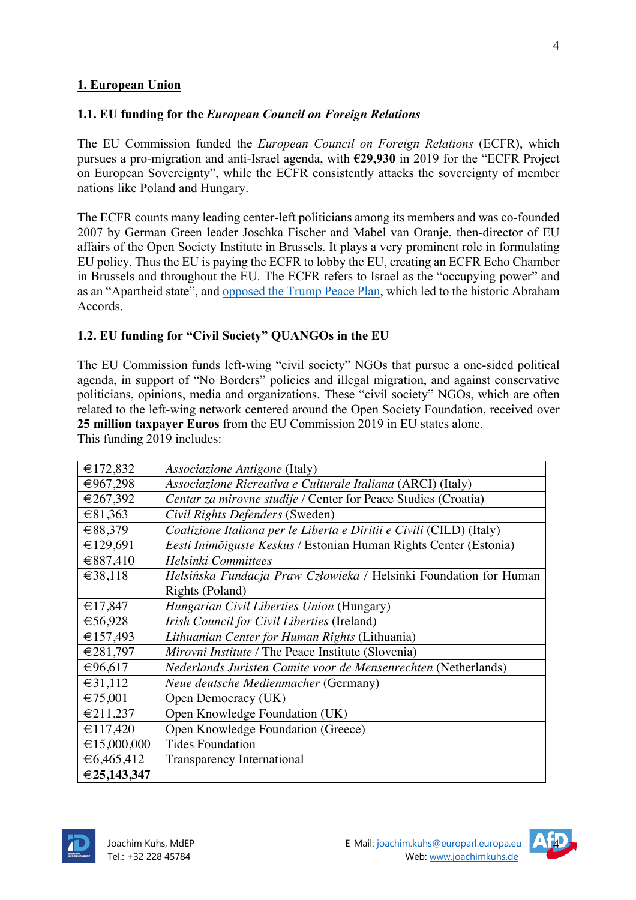#### **1. European Union**

#### **1.1. EU funding for the** *European Council on Foreign Relations*

The EU Commission funded the *European Council on Foreign Relations* (ECFR), which pursues a pro-migration and anti-Israel agenda, with **€29,930** in 2019 for the "ECFR Project on European Sovereignty", while the ECFR consistently attacks the sovereignty of member nations like Poland and Hungary.

The ECFR counts many leading center-left politicians among its members and was co-founded 2007 by German Green leader Joschka Fischer and Mabel van Oranje, then-director of EU affairs of the Open Society Institute in Brussels. It plays a very prominent role in formulating EU policy. Thus the EU is paying the ECFR to lobby the EU, creating an ECFR Echo Chamber in Brussels and throughout the EU. The ECFR refers to Israel as the "occupying power" and as an "Apartheid state", and opposed the Trump Peace Plan, which led to the historic Abraham Accords.

#### **1.2. EU funding for "Civil Society" QUANGOs in the EU**

The EU Commission funds left-wing "civil society" NGOs that pursue a one-sided political agenda, in support of "No Borders" policies and illegal migration, and against conservative politicians, opinions, media and organizations. These "civil society" NGOs, which are often related to the left-wing network centered around the Open Society Foundation, received over **25 million taxpayer Euros** from the EU Commission 2019 in EU states alone.

This funding 2019 includes:

| €172,832              | <i>Associazione Antigone</i> (Italy)                                 |
|-----------------------|----------------------------------------------------------------------|
| €967,298              | Associazione Ricreativa e Culturale Italiana (ARCI) (Italy)          |
| €267,392              | Centar za mirovne studije / Center for Peace Studies (Croatia)       |
| €81,363               | Civil Rights Defenders (Sweden)                                      |
| €88,379               | Coalizione Italiana per le Liberta e Diritii e Civili (CILD) (Italy) |
| €129,691              | Eesti Inimõiguste Keskus / Estonian Human Rights Center (Estonia)    |
| €887,410              | <b>Helsinki Committees</b>                                           |
| €38,118               | Helsińska Fundacja Praw Człowieka / Helsinki Foundation for Human    |
|                       | Rights (Poland)                                                      |
| €17,847               | Hungarian Civil Liberties Union (Hungary)                            |
| €56,928               | Irish Council for Civil Liberties (Ireland)                          |
| €157,493              | Lithuanian Center for Human Rights (Lithuania)                       |
| €281,797              | <i>Mirovni Institute</i> / The Peace Institute (Slovenia)            |
| €96,617               | Nederlands Juristen Comite voor de Mensenrechten (Netherlands)       |
| €31,112               | Neue deutsche Medienmacher (Germany)                                 |
| €75,001               | Open Democracy (UK)                                                  |
| €211,237              | Open Knowledge Foundation (UK)                                       |
| €117,420              | Open Knowledge Foundation (Greece)                                   |
| $\epsilon$ 15,000,000 | <b>Tides Foundation</b>                                              |
| €6,465,412            | Transparency International                                           |
| €25,143,347           |                                                                      |



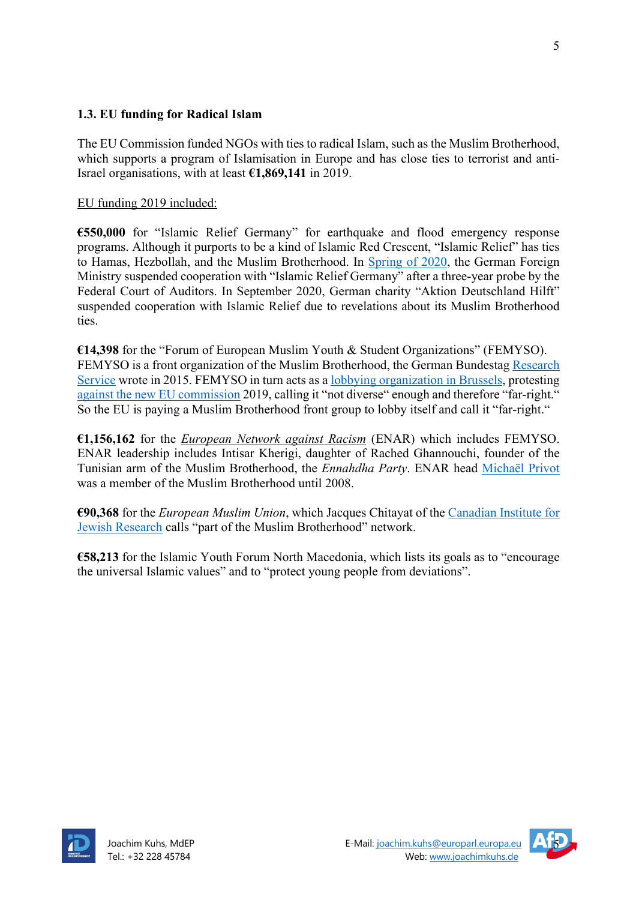## **1.3. EU funding for Radical Islam**

The EU Commission funded NGOs with ties to radical Islam, such as the Muslim Brotherhood, which supports a program of Islamisation in Europe and has close ties to terrorist and anti-Israel organisations, with at least **€1,869,141** in 2019.

#### EU funding 2019 included:

**€550,000** for "Islamic Relief Germany" for earthquake and flood emergency response programs. Although it purports to be a kind of Islamic Red Crescent, "Islamic Relief" has ties to Hamas, Hezbollah, and the Muslim Brotherhood. In Spring of 2020, the German Foreign Ministry suspended cooperation with "Islamic Relief Germany" after a three-year probe by the Federal Court of Auditors. In September 2020, German charity "Aktion Deutschland Hilft" suspended cooperation with Islamic Relief due to revelations about its Muslim Brotherhood ties.

**€14,398** for the "Forum of European Muslim Youth & Student Organizations" (FEMYSO). FEMYSO is a front organization of the Muslim Brotherhood, the German Bundestag Research Service wrote in 2015. FEMYSO in turn acts as a lobbying organization in Brussels, protesting against the new EU commission 2019, calling it "not diverse" enough and therefore "far-right." So the EU is paying a Muslim Brotherhood front group to lobby itself and call it "far-right."

**€1,156,162** for the *European Network against Racism* (ENAR) which includes FEMYSO. ENAR leadership includes Intisar Kherigi, daughter of Rached Ghannouchi, founder of the Tunisian arm of the Muslim Brotherhood, the *Ennahdha Party*. ENAR head Michaël Privot was a member of the Muslim Brotherhood until 2008.

**€90,368** for the *European Muslim Union*, which Jacques Chitayat of the Canadian Institute for Jewish Research calls "part of the Muslim Brotherhood" network.

**€58,213** for the Islamic Youth Forum North Macedonia, which lists its goals as to "encourage the universal Islamic values" and to "protect young people from deviations".



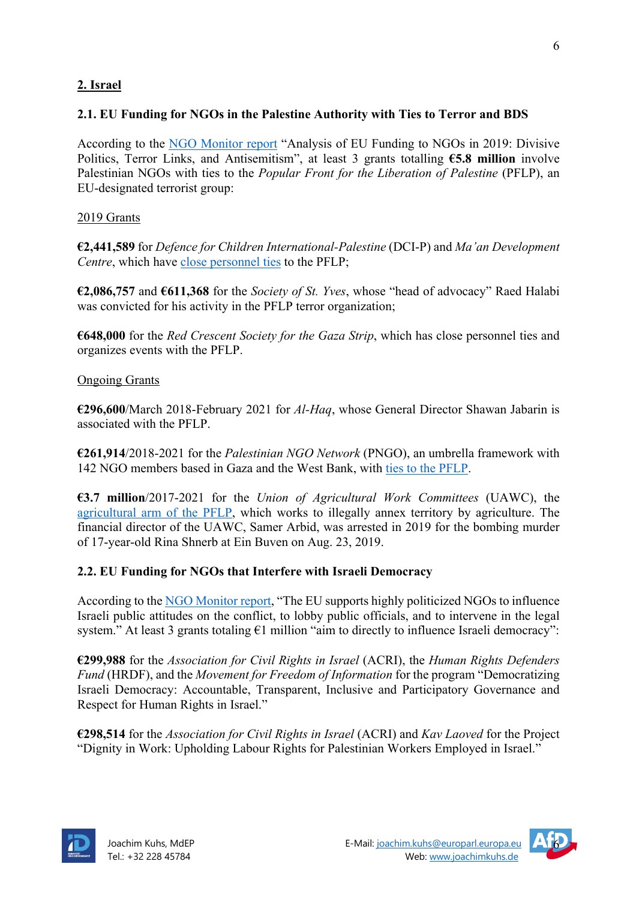## **2. Israel**

### **2.1. EU Funding for NGOs in the Palestine Authority with Ties to Terror and BDS**

According to the NGO Monitor report "Analysis of EU Funding to NGOs in 2019: Divisive Politics, Terror Links, and Antisemitism", at least 3 grants totalling **€5.8 million** involve Palestinian NGOs with ties to the *Popular Front for the Liberation of Palestine* (PFLP), an EU-designated terrorist group:

#### 2019 Grants

**€2,441,589** for *Defence for Children International-Palestine* (DCI-P) and *Ma'an Development Centre*, which have close personnel ties to the PFLP;

**€2,086,757** and **€611,368** for the *Society of St. Yves*, whose "head of advocacy" Raed Halabi was convicted for his activity in the PFLP terror organization;

**€648,000** for the *Red Crescent Society for the Gaza Strip*, which has close personnel ties and organizes events with the PFLP.

#### Ongoing Grants

**€296,600**/March 2018-February 2021 for *Al-Haq*, whose General Director Shawan Jabarin is associated with the PFLP.

**€261,914**/2018-2021 for the *Palestinian NGO Network* (PNGO), an umbrella framework with 142 NGO members based in Gaza and the West Bank, with ties to the PFLP.

**€3.7 million**/2017-2021 for the *Union of Agricultural Work Committees* (UAWC), the agricultural arm of the PFLP, which works to illegally annex territory by agriculture. The financial director of the UAWC, Samer Arbid, was arrested in 2019 for the bombing murder of 17-year-old Rina Shnerb at Ein Buven on Aug. 23, 2019.

## **2.2. EU Funding for NGOs that Interfere with Israeli Democracy**

According to the NGO Monitor report, "The EU supports highly politicized NGOs to influence Israeli public attitudes on the conflict, to lobby public officials, and to intervene in the legal system." At least 3 grants totaling €1 million "aim to directly to influence Israeli democracy":

**€299,988** for the *Association for Civil Rights in Israel* (ACRI), the *Human Rights Defenders Fund* (HRDF), and the *Movement for Freedom of Information* for the program "Democratizing Israeli Democracy: Accountable, Transparent, Inclusive and Participatory Governance and Respect for Human Rights in Israel."

**€298,514** for the *Association for Civil Rights in Israel* (ACRI) and *Kav Laoved* for the Project "Dignity in Work: Upholding Labour Rights for Palestinian Workers Employed in Israel."



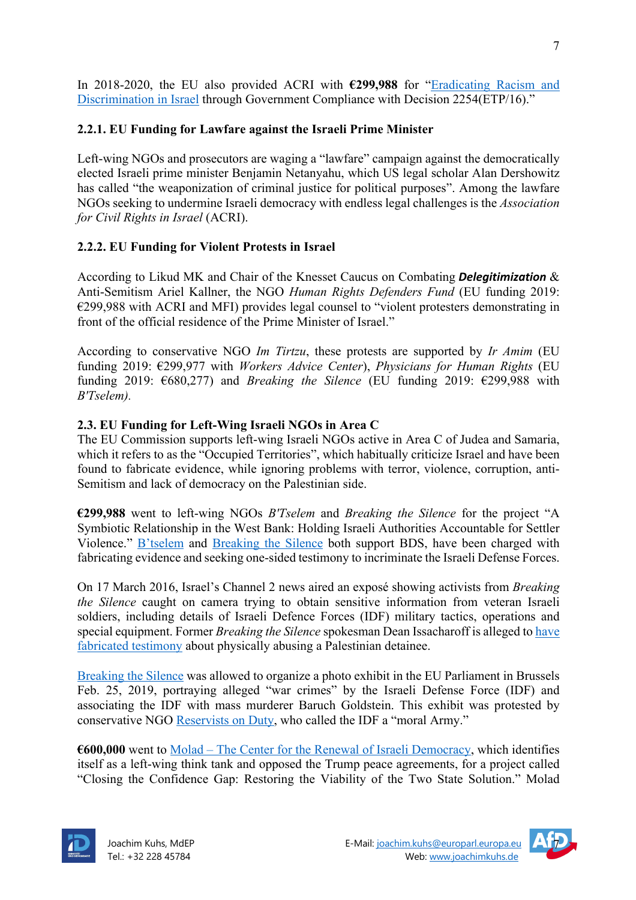In 2018-2020, the EU also provided ACRI with **€299,988** for "Eradicating Racism and Discrimination in Israel through Government Compliance with Decision 2254(ETP/16)."

#### **2.2.1. EU Funding for Lawfare against the Israeli Prime Minister**

Left-wing NGOs and prosecutors are waging a "lawfare" campaign against the democratically elected Israeli prime minister Benjamin Netanyahu, which US legal scholar Alan Dershowitz has called "the weaponization of criminal justice for political purposes". Among the lawfare NGOs seeking to undermine Israeli democracy with endless legal challenges is the *Association for Civil Rights in Israel* (ACRI).

#### **2.2.2. EU Funding for Violent Protests in Israel**

According to Likud MK and Chair of the Knesset Caucus on Combating *Delegitimization* & Anti-Semitism Ariel Kallner, the NGO *Human Rights Defenders Fund* (EU funding 2019: €299,988 with ACRI and MFI) provides legal counsel to "violent protesters demonstrating in front of the official residence of the Prime Minister of Israel."

According to conservative NGO *Im Tirtzu*, these protests are supported by *Ir Amim* (EU funding 2019: €299,977 with *Workers Advice Center*), *Physicians for Human Rights* (EU funding 2019: €680,277) and *Breaking the Silence* (EU funding 2019: €299,988 with *B'Tselem).*

#### **2.3. EU Funding for Left-Wing Israeli NGOs in Area C**

The EU Commission supports left-wing Israeli NGOs active in Area C of Judea and Samaria, which it refers to as the "Occupied Territories", which habitually criticize Israel and have been found to fabricate evidence, while ignoring problems with terror, violence, corruption, anti-Semitism and lack of democracy on the Palestinian side.

**€299,988** went to left-wing NGOs *B'Tselem* and *Breaking the Silence* for the project "A Symbiotic Relationship in the West Bank: Holding Israeli Authorities Accountable for Settler Violence." B'tselem and Breaking the Silence both support BDS, have been charged with fabricating evidence and seeking one-sided testimony to incriminate the Israeli Defense Forces.

On 17 March 2016, Israel's Channel 2 news aired an exposé showing activists from *Breaking the Silence* caught on camera trying to obtain sensitive information from veteran Israeli soldiers, including details of Israeli Defence Forces (IDF) military tactics, operations and special equipment. Former *Breaking the Silence* spokesman Dean Issacharoff is alleged to have fabricated testimony about physically abusing a Palestinian detainee.

Breaking the Silence was allowed to organize a photo exhibit in the EU Parliament in Brussels Feb. 25, 2019, portraying alleged "war crimes" by the Israeli Defense Force (IDF) and associating the IDF with mass murderer Baruch Goldstein. This exhibit was protested by conservative NGO Reservists on Duty, who called the IDF a "moral Army."

**€600,000** went to Molad – The Center for the Renewal of Israeli Democracy, which identifies itself as a left-wing think tank and opposed the Trump peace agreements, for a project called "Closing the Confidence Gap: Restoring the Viability of the Two State Solution." Molad



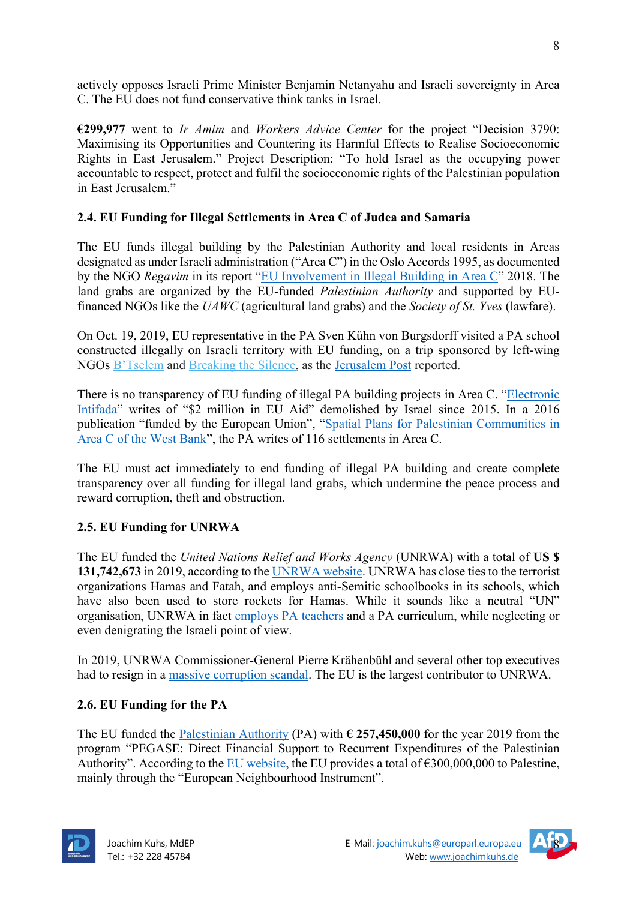actively opposes Israeli Prime Minister Benjamin Netanyahu and Israeli sovereignty in Area C. The EU does not fund conservative think tanks in Israel.

**€299,977** went to *Ir Amim* and *Workers Advice Center* for the project "Decision 3790: Maximising its Opportunities and Countering its Harmful Effects to Realise Socioeconomic Rights in East Jerusalem." Project Description: "To hold Israel as the occupying power accountable to respect, protect and fulfil the socioeconomic rights of the Palestinian population in East Jerusalem."

## **2.4. EU Funding for Illegal Settlements in Area C of Judea and Samaria**

The EU funds illegal building by the Palestinian Authority and local residents in Areas designated as under Israeli administration ("Area C") in the Oslo Accords 1995, as documented by the NGO *Regavim* in its report "EU Involvement in Illegal Building in Area C" 2018. The land grabs are organized by the EU-funded *Palestinian Authority* and supported by EUfinanced NGOs like the *UAWC* (agricultural land grabs) and the *Society of St. Yves* (lawfare).

On Oct. 19, 2019, EU representative in the PA Sven Kühn von Burgsdorff visited a PA school constructed illegally on Israeli territory with EU funding, on a trip sponsored by left-wing NGOs B'Tselem and Breaking the Silence, as the Jerusalem Post reported.

There is no transparency of EU funding of illegal PA building projects in Area C. "Electronic Intifada" writes of "\$2 million in EU Aid" demolished by Israel since 2015. In a 2016 publication "funded by the European Union", "Spatial Plans for Palestinian Communities in Area C of the West Bank", the PA writes of 116 settlements in Area C.

The EU must act immediately to end funding of illegal PA building and create complete transparency over all funding for illegal land grabs, which undermine the peace process and reward corruption, theft and obstruction.

## **2.5. EU Funding for UNRWA**

The EU funded the *United Nations Relief and Works Agency* (UNRWA) with a total of **US \$ 131,742,673** in 2019, according to the UNRWA website. UNRWA has close ties to the terrorist organizations Hamas and Fatah, and employs anti-Semitic schoolbooks in its schools, which have also been used to store rockets for Hamas. While it sounds like a neutral "UN" organisation, UNRWA in fact employs PA teachers and a PA curriculum, while neglecting or even denigrating the Israeli point of view.

In 2019, UNRWA Commissioner-General Pierre Krähenbühl and several other top executives had to resign in a massive corruption scandal. The EU is the largest contributor to UNRWA.

## **2.6. EU Funding for the PA**

The EU funded the Palestinian Authority (PA) with **€ 257,450,000** for the year 2019 from the program "PEGASE: Direct Financial Support to Recurrent Expenditures of the Palestinian Authority". According to the EU website, the EU provides a total of  $\epsilon$ 300,000,000 to Palestine, mainly through the "European Neighbourhood Instrument".



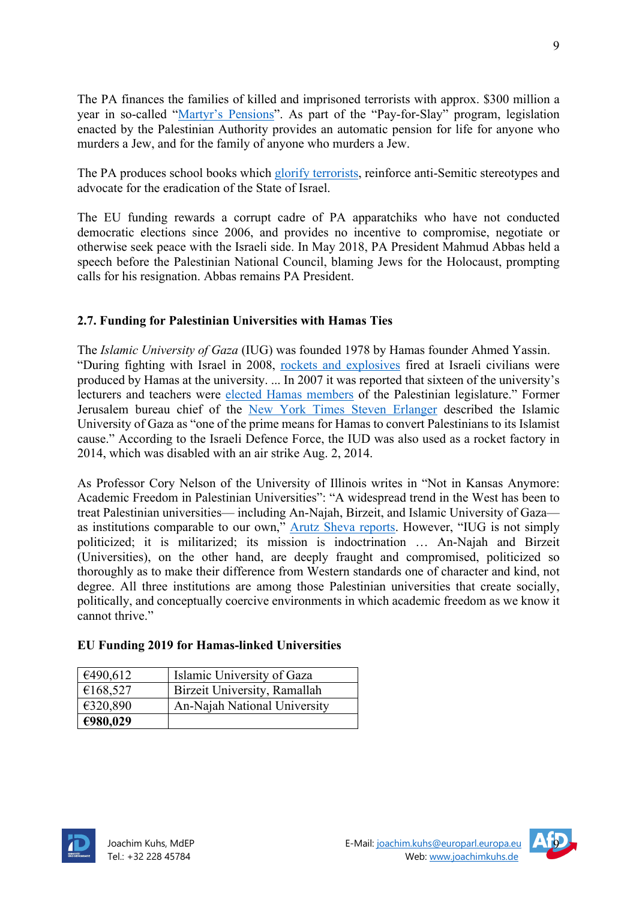The PA finances the families of killed and imprisoned terrorists with approx. \$300 million a year in so-called "Martyr's Pensions". As part of the "Pay-for-Slay" program, legislation enacted by the Palestinian Authority provides an automatic pension for life for anyone who murders a Jew, and for the family of anyone who murders a Jew.

The PA produces school books which glorify terrorists, reinforce anti-Semitic stereotypes and advocate for the eradication of the State of Israel.

The EU funding rewards a corrupt cadre of PA apparatchiks who have not conducted democratic elections since 2006, and provides no incentive to compromise, negotiate or otherwise seek peace with the Israeli side. In May 2018, PA President Mahmud Abbas held a speech before the Palestinian National Council, blaming Jews for the Holocaust, prompting calls for his resignation. Abbas remains PA President.

## **2.7. Funding for Palestinian Universities with Hamas Ties**

The *Islamic University of Gaza* (IUG) was founded 1978 by Hamas founder Ahmed Yassin. "During fighting with Israel in 2008, rockets and explosives fired at Israeli civilians were produced by Hamas at the university. ... In 2007 it was reported that sixteen of the university's lecturers and teachers were elected Hamas members of the Palestinian legislature." Former Jerusalem bureau chief of the New York Times Steven Erlanger described the Islamic University of Gaza as "one of the prime means for Hamas to convert Palestinians to its Islamist cause." According to the Israeli Defence Force, the IUD was also used as a rocket factory in 2014, which was disabled with an air strike Aug. 2, 2014.

As Professor Cory Nelson of the University of Illinois writes in "Not in Kansas Anymore: Academic Freedom in Palestinian Universities": "A widespread trend in the West has been to treat Palestinian universities— including An-Najah, Birzeit, and Islamic University of Gaza as institutions comparable to our own," Arutz Sheva reports. However, "IUG is not simply politicized; it is militarized; its mission is indoctrination … An-Najah and Birzeit (Universities), on the other hand, are deeply fraught and compromised, politicized so thoroughly as to make their difference from Western standards one of character and kind, not degree. All three institutions are among those Palestinian universities that create socially, politically, and conceptually coercive environments in which academic freedom as we know it cannot thrive."

## **EU Funding 2019 for Hamas-linked Universities**

| €490,612 | Islamic University of Gaza   |
|----------|------------------------------|
| €168,527 | Birzeit University, Ramallah |
| €320,890 | An-Najah National University |
| €980,029 |                              |



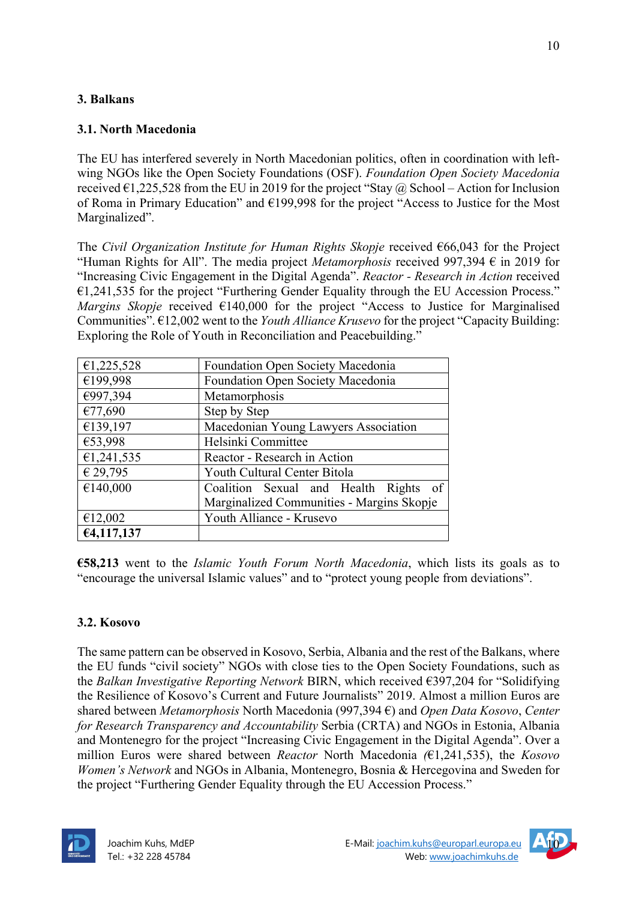## **3. Balkans**

## **3.1. North Macedonia**

The EU has interfered severely in North Macedonian politics, often in coordination with leftwing NGOs like the Open Society Foundations (OSF). *Foundation Open Society Macedonia*  received  $\epsilon$ 1,225,528 from the EU in 2019 for the project "Stay @ School – Action for Inclusion of Roma in Primary Education" and €199,998 for the project "Access to Justice for the Most Marginalized".

The *Civil Organization Institute for Human Rights Skopje* received €66,043 for the Project "Human Rights for All". The media project *Metamorphosis* received 997,394 € in 2019 for "Increasing Civic Engagement in the Digital Agenda". *Reactor - Research in Action* received €1,241,535 for the project "Furthering Gender Equality through the EU Accession Process." *Margins Skopje* received €140,000 for the project "Access to Justice for Marginalised Communities". €12,002 went to the *Youth Alliance Krusevo* for the project "Capacity Building: Exploring the Role of Youth in Reconciliation and Peacebuilding."

| €1,225,528 | Foundation Open Society Macedonia         |  |
|------------|-------------------------------------------|--|
| €199,998   | Foundation Open Society Macedonia         |  |
| €997,394   | Metamorphosis                             |  |
| €77,690    | Step by Step                              |  |
| €139,197   | Macedonian Young Lawyers Association      |  |
| €53,998    | Helsinki Committee                        |  |
| €1,241,535 | Reactor - Research in Action              |  |
| € 29,795   | Youth Cultural Center Bitola              |  |
| €140,000   | Coalition Sexual and Health Rights        |  |
|            | Marginalized Communities - Margins Skopje |  |
| €12,002    | Youth Alliance - Krusevo                  |  |
| €4,117,137 |                                           |  |

**€58,213** went to the *Islamic Youth Forum North Macedonia*, which lists its goals as to "encourage the universal Islamic values" and to "protect young people from deviations".

## **3.2. Kosovo**

The same pattern can be observed in Kosovo, Serbia, Albania and the rest of the Balkans, where the EU funds "civil society" NGOs with close ties to the Open Society Foundations, such as the *Balkan Investigative Reporting Network* BIRN, which received €397,204 for "Solidifying the Resilience of Kosovo's Current and Future Journalists" 2019. Almost a million Euros are shared between *Metamorphosis* North Macedonia (997,394 €) and *Open Data Kosovo*, *Center for Research Transparency and Accountability* Serbia (CRTA) and NGOs in Estonia, Albania and Montenegro for the project "Increasing Civic Engagement in the Digital Agenda". Over a million Euros were shared between *Reactor* North Macedonia *(*€1,241,535), the *Kosovo Women's Network* and NGOs in Albania, Montenegro, Bosnia & Hercegovina and Sweden for the project "Furthering Gender Equality through the EU Accession Process."



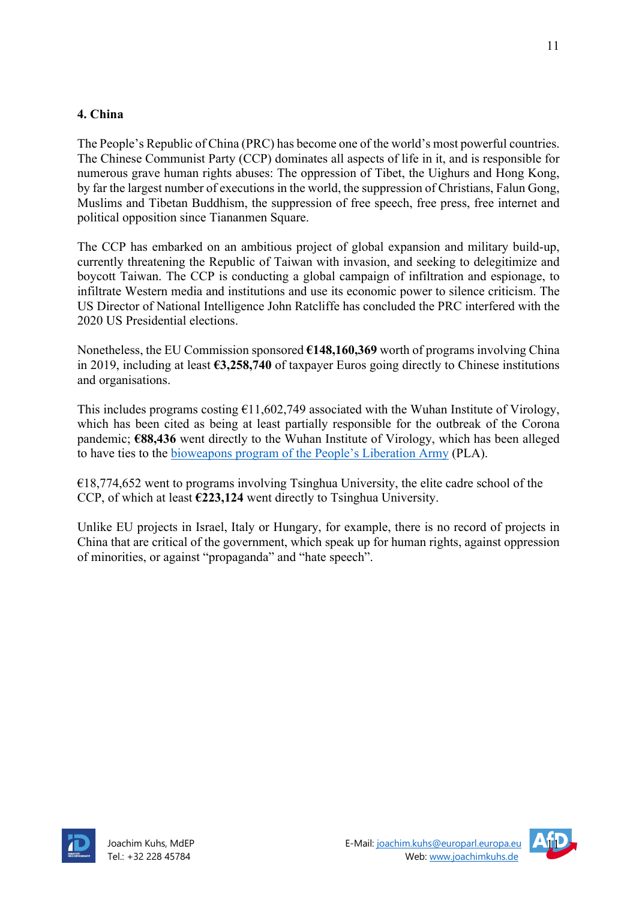#### **4. China**

The People's Republic of China (PRC) has become one of the world's most powerful countries. The Chinese Communist Party (CCP) dominates all aspects of life in it, and is responsible for numerous grave human rights abuses: The oppression of Tibet, the Uighurs and Hong Kong, by far the largest number of executions in the world, the suppression of Christians, Falun Gong, Muslims and Tibetan Buddhism, the suppression of free speech, free press, free internet and political opposition since Tiananmen Square.

The CCP has embarked on an ambitious project of global expansion and military build-up, currently threatening the Republic of Taiwan with invasion, and seeking to delegitimize and boycott Taiwan. The CCP is conducting a global campaign of infiltration and espionage, to infiltrate Western media and institutions and use its economic power to silence criticism. The US Director of National Intelligence John Ratcliffe has concluded the PRC interfered with the 2020 US Presidential elections.

Nonetheless, the EU Commission sponsored **€148,160,369** worth of programs involving China in 2019, including at least **€3,258,740** of taxpayer Euros going directly to Chinese institutions and organisations.

This includes programs costing  $E11,602,749$  associated with the Wuhan Institute of Virology, which has been cited as being at least partially responsible for the outbreak of the Corona pandemic; **€88,436** went directly to the Wuhan Institute of Virology, which has been alleged to have ties to the bioweapons program of the People's Liberation Army (PLA).

 $€18,774,652$  went to programs involving Tsinghua University, the elite cadre school of the CCP, of which at least **€223,124** went directly to Tsinghua University.

Unlike EU projects in Israel, Italy or Hungary, for example, there is no record of projects in China that are critical of the government, which speak up for human rights, against oppression of minorities, or against "propaganda" and "hate speech".



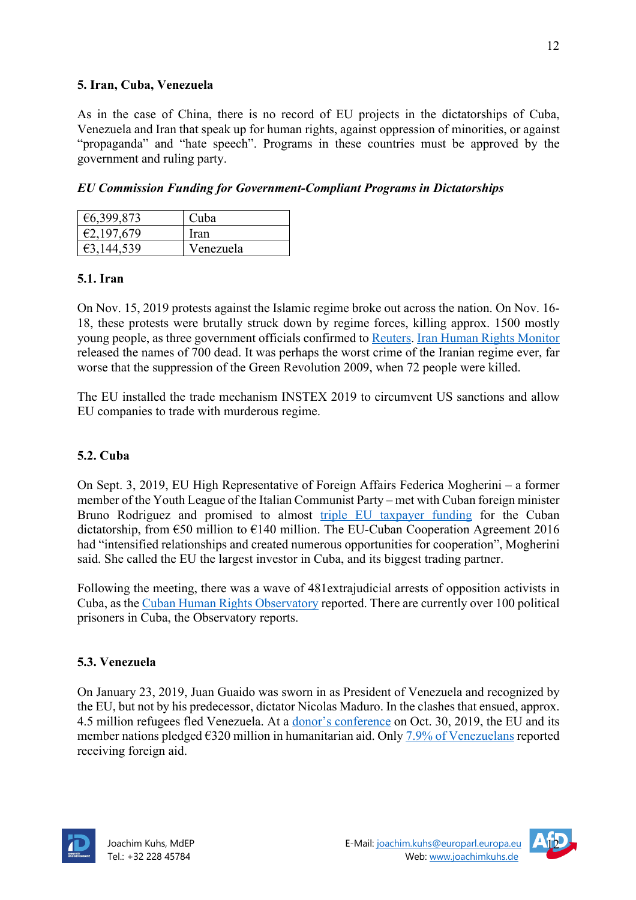### **5. Iran, Cuba, Venezuela**

As in the case of China, there is no record of EU projects in the dictatorships of Cuba, Venezuela and Iran that speak up for human rights, against oppression of minorities, or against "propaganda" and "hate speech". Programs in these countries must be approved by the government and ruling party.

*EU Commission Funding for Government-Compliant Programs in Dictatorships*

| €6,399,873 | Cuba      |
|------------|-----------|
| €2,197,679 | Iran      |
| €3,144,539 | Venezuela |

## **5.1. Iran**

On Nov. 15, 2019 protests against the Islamic regime broke out across the nation. On Nov. 16- 18, these protests were brutally struck down by regime forces, killing approx. 1500 mostly young people, as three government officials confirmed to Reuters. Iran Human Rights Monitor released the names of 700 dead. It was perhaps the worst crime of the Iranian regime ever, far worse that the suppression of the Green Revolution 2009, when 72 people were killed.

The EU installed the trade mechanism INSTEX 2019 to circumvent US sanctions and allow EU companies to trade with murderous regime.

## **5.2. Cuba**

On Sept. 3, 2019, EU High Representative of Foreign Affairs Federica Mogherini – a former member of the Youth League of the Italian Communist Party – met with Cuban foreign minister Bruno Rodriguez and promised to almost triple EU taxpayer funding for the Cuban dictatorship, from €50 million to €140 million. The EU-Cuban Cooperation Agreement 2016 had "intensified relationships and created numerous opportunities for cooperation", Mogherini said. She called the EU the largest investor in Cuba, and its biggest trading partner.

Following the meeting, there was a wave of 481extrajudicial arrests of opposition activists in Cuba, as the Cuban Human Rights Observatory reported. There are currently over 100 political prisoners in Cuba, the Observatory reports.

## **5.3. Venezuela**

On January 23, 2019, Juan Guaido was sworn in as President of Venezuela and recognized by the EU, but not by his predecessor, dictator Nicolas Maduro. In the clashes that ensued, approx. 4.5 million refugees fled Venezuela. At a donor's conference on Oct. 30, 2019, the EU and its member nations pledged  $6320$  million in humanitarian aid. Only  $7.9\%$  of Venezuelans reported receiving foreign aid.